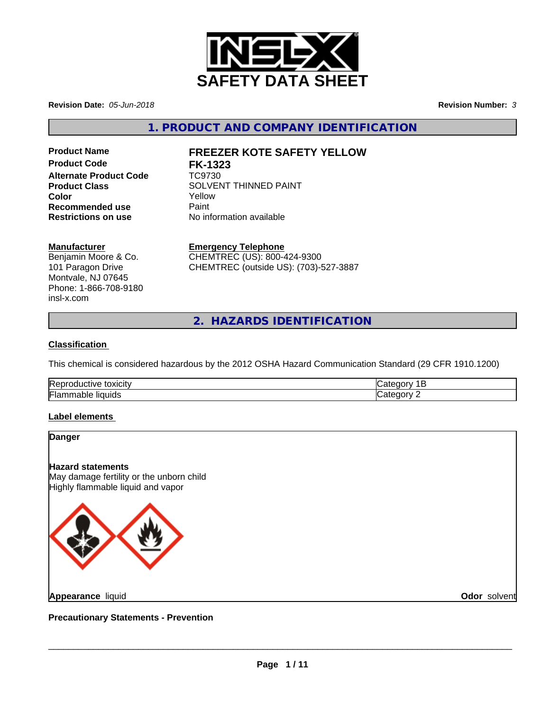

**Revision Date:** *05-Jun-2018* **Revision Number:** *3*

**1. PRODUCT AND COMPANY IDENTIFICATION**

**Product Code FK-1323 Alternate Product Code** TC9730 **Recommended use** Paint<br> **Restrictions on use** No inf

# **Product Name FREEZER KOTE SAFETY YELLOW**

**Product Class** SOLVENT THINNED PAINT **Color** Yellow **No information available** 

### **Manufacturer**

Benjamin Moore & Co. 101 Paragon Drive Montvale, NJ 07645 Phone: 1-866-708-9180 insl-x.com

**Emergency Telephone**

CHEMTREC (US): 800-424-9300 CHEMTREC (outside US): (703)-527-3887

**2. HAZARDS IDENTIFICATION**

## **Classification**

This chemical is considered hazardous by the 2012 OSHA Hazard Communication Standard (29 CFR 1910.1200)

| <b>Rer</b><br>. |  |
|-----------------|--|
| وا⊒ا<br>нσ<br>ш |  |

## **Label elements**

| Danger                                                                                                    |              |
|-----------------------------------------------------------------------------------------------------------|--------------|
| <b>Hazard statements</b><br>May damage fertility or the unborn child<br>Highly flammable liquid and vapor |              |
|                                                                                                           |              |
| <b>Appearance liquid</b>                                                                                  | Odor solvent |
| <b>Precautionary Statements - Prevention</b>                                                              |              |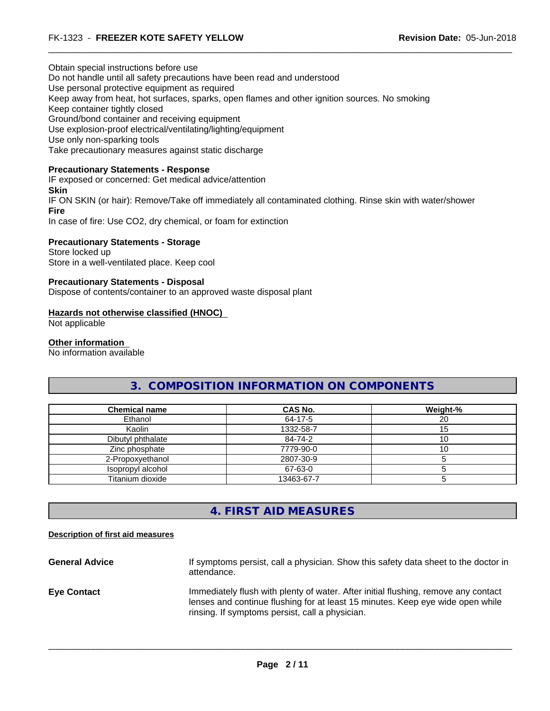Obtain special instructions before use Do not handle until all safety precautions have been read and understood Use personal protective equipment as required Keep away from heat, hot surfaces, sparks, open flames and other ignition sources. No smoking Keep container tightly closed Ground/bond container and receiving equipment Use explosion-proof electrical/ventilating/lighting/equipment Use only non-sparking tools Take precautionary measures against static discharge

#### **Precautionary Statements - Response**

IF exposed or concerned: Get medical advice/attention **Skin** IF ON SKIN (or hair): Remove/Take off immediately all contaminated clothing. Rinse skin with water/shower **Fire** In case of fire: Use CO2, dry chemical, or foam for extinction

**Precautionary Statements - Storage** Store locked up Store in a well-ventilated place. Keep cool

#### **Precautionary Statements - Disposal**

Dispose of contents/container to an approved waste disposal plant

#### **Hazards not otherwise classified (HNOC)**

Not applicable

#### **Other information**

No information available

# **3. COMPOSITION INFORMATION ON COMPONENTS**

| <b>Chemical name</b> | CAS No.    | Weight-% |
|----------------------|------------|----------|
| Ethanol              | 64-17-5    | 20       |
| Kaolin               | 1332-58-7  | 15       |
| Dibutyl phthalate    | 84-74-2    |          |
| Zinc phosphate       | 7779-90-0  | 10       |
| 2-Propoxyethanol     | 2807-30-9  |          |
| Isopropyl alcohol    | 67-63-0    |          |
| Titanium dioxide     | 13463-67-7 |          |

# **4. FIRST AID MEASURES**

#### **Description of first aid measures**

General Advice **If symptoms persist, call a physician.** Show this safety data sheet to the doctor in attendance. **Eye Contact Immediately flush with plenty of water. After initial flushing, remove any contact** lenses and continue flushing for at least 15 minutes. Keep eye wide open while rinsing. If symptoms persist, call a physician.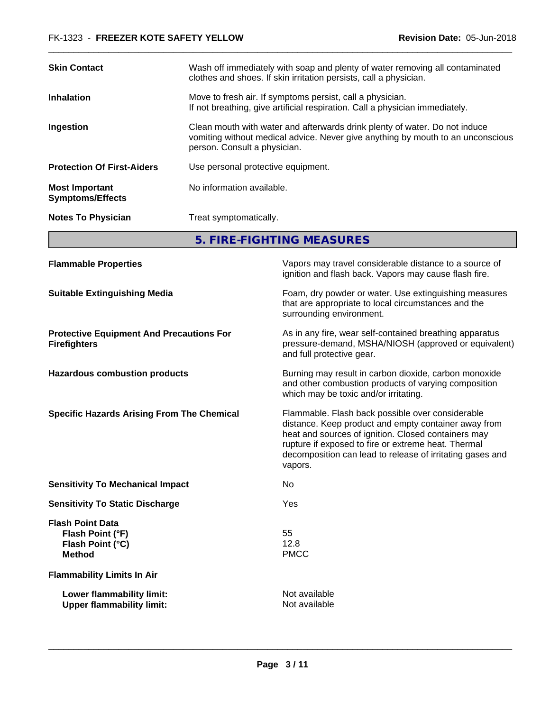| <b>Skin Contact</b><br>clothes and shoes. If skin irritation persists, call a physician.<br>Move to fresh air. If symptoms persist, call a physician.<br><b>Inhalation</b><br>If not breathing, give artificial respiration. Call a physician immediately.<br>Clean mouth with water and afterwards drink plenty of water. Do not induce<br>Ingestion<br>person. Consult a physician.<br>Use personal protective equipment.<br>No information available.<br><b>Most Important</b><br><b>Symptoms/Effects</b><br><b>Notes To Physician</b><br>Treat symptomatically.<br>5. FIRE-FIGHTING MEASURES | <b>Flammable Properties</b> | Vapors may travel considerable distance to a source of<br>ignition and flash back. Vapors may cause flash fire. |  |
|--------------------------------------------------------------------------------------------------------------------------------------------------------------------------------------------------------------------------------------------------------------------------------------------------------------------------------------------------------------------------------------------------------------------------------------------------------------------------------------------------------------------------------------------------------------------------------------------------|-----------------------------|-----------------------------------------------------------------------------------------------------------------|--|
| <b>Protection Of First-Aiders</b>                                                                                                                                                                                                                                                                                                                                                                                                                                                                                                                                                                |                             |                                                                                                                 |  |
|                                                                                                                                                                                                                                                                                                                                                                                                                                                                                                                                                                                                  |                             |                                                                                                                 |  |
|                                                                                                                                                                                                                                                                                                                                                                                                                                                                                                                                                                                                  |                             |                                                                                                                 |  |
|                                                                                                                                                                                                                                                                                                                                                                                                                                                                                                                                                                                                  |                             |                                                                                                                 |  |
|                                                                                                                                                                                                                                                                                                                                                                                                                                                                                                                                                                                                  |                             | vomiting without medical advice. Never give anything by mouth to an unconscious                                 |  |
|                                                                                                                                                                                                                                                                                                                                                                                                                                                                                                                                                                                                  |                             |                                                                                                                 |  |
|                                                                                                                                                                                                                                                                                                                                                                                                                                                                                                                                                                                                  |                             | Wash off immediately with soap and plenty of water removing all contaminated                                    |  |

**Suitable Extinguishing Media Foam**, dry powder or water. Use extinguishing measures that are appropriate to local circumstances and the surrounding environment. **Protective Equipment And Precautions For Firefighters** As in any fire, wear self-contained breathing apparatus pressure-demand, MSHA/NIOSH (approved or equivalent) and full protective gear. **Hazardous combustion products burning may result in carbon dioxide, carbon monoxide** and other combustion products of varying composition which may be toxic and/or irritating. **Specific Hazards Arising From The Chemical** Flammable. Flash back possible over considerable distance. Keep product and empty container away from heat and sources of ignition. Closed containers may rupture if exposed to fire or extreme heat. Thermal decomposition can lead to release of irritating gases and vapors. **Sensitivity To Mechanical Impact** No **Sensitivity To Static Discharge** Yes **Flash Point Data Flash Point (°F)** 55 **Flash Point (°C)** 12.8 **Method** PMCC **Flammability Limits In Air Lower flammability limit:** Not available **Upper flammability limit:** Not available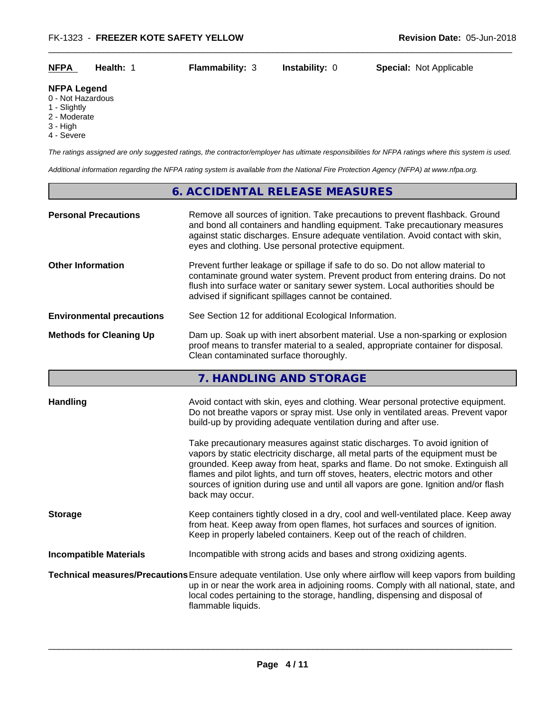| <b>NFPA</b> | Health: |                        |                       | <b>Special: Not Applicable</b> |
|-------------|---------|------------------------|-----------------------|--------------------------------|
|             |         | <b>Flammability: 3</b> | <b>Instability: 0</b> |                                |

### **NFPA Legend**

0 - Not Hazardous

- 1 Slightly
- 2 Moderate
- 3 High
- 4 Severe

*The ratings assigned are only suggested ratings, the contractor/employer has ultimate responsibilities for NFPA ratings where this system is used.*

*Additional information regarding the NFPA rating system is available from the National Fire Protection Agency (NFPA) at www.nfpa.org.*

# **6. ACCIDENTAL RELEASE MEASURES**

| <b>Personal Precautions</b>      | Remove all sources of ignition. Take precautions to prevent flashback. Ground<br>and bond all containers and handling equipment. Take precautionary measures<br>against static discharges. Ensure adequate ventilation. Avoid contact with skin,<br>eyes and clothing. Use personal protective equipment.                                                                                                                                                                                                                                                                                                                                                                                 |
|----------------------------------|-------------------------------------------------------------------------------------------------------------------------------------------------------------------------------------------------------------------------------------------------------------------------------------------------------------------------------------------------------------------------------------------------------------------------------------------------------------------------------------------------------------------------------------------------------------------------------------------------------------------------------------------------------------------------------------------|
| <b>Other Information</b>         | Prevent further leakage or spillage if safe to do so. Do not allow material to<br>contaminate ground water system. Prevent product from entering drains. Do not<br>flush into surface water or sanitary sewer system. Local authorities should be<br>advised if significant spillages cannot be contained.                                                                                                                                                                                                                                                                                                                                                                                |
| <b>Environmental precautions</b> | See Section 12 for additional Ecological Information.                                                                                                                                                                                                                                                                                                                                                                                                                                                                                                                                                                                                                                     |
| <b>Methods for Cleaning Up</b>   | Dam up. Soak up with inert absorbent material. Use a non-sparking or explosion<br>proof means to transfer material to a sealed, appropriate container for disposal.<br>Clean contaminated surface thoroughly.                                                                                                                                                                                                                                                                                                                                                                                                                                                                             |
|                                  | 7. HANDLING AND STORAGE                                                                                                                                                                                                                                                                                                                                                                                                                                                                                                                                                                                                                                                                   |
| <b>Handling</b>                  | Avoid contact with skin, eyes and clothing. Wear personal protective equipment.<br>Do not breathe vapors or spray mist. Use only in ventilated areas. Prevent vapor<br>build-up by providing adequate ventilation during and after use.<br>Take precautionary measures against static discharges. To avoid ignition of<br>vapors by static electricity discharge, all metal parts of the equipment must be<br>grounded. Keep away from heat, sparks and flame. Do not smoke. Extinguish all<br>flames and pilot lights, and turn off stoves, heaters, electric motors and other<br>sources of ignition during use and until all vapors are gone. Ignition and/or flash<br>back may occur. |
| <b>Storage</b>                   | Keep containers tightly closed in a dry, cool and well-ventilated place. Keep away<br>from heat. Keep away from open flames, hot surfaces and sources of ignition.<br>Keep in properly labeled containers. Keep out of the reach of children.                                                                                                                                                                                                                                                                                                                                                                                                                                             |
| <b>Incompatible Materials</b>    | Incompatible with strong acids and bases and strong oxidizing agents.                                                                                                                                                                                                                                                                                                                                                                                                                                                                                                                                                                                                                     |
|                                  | Technical measures/Precautions Ensure adequate ventilation. Use only where airflow will keep vapors from building<br>up in or near the work area in adjoining rooms. Comply with all national, state, and<br>local codes pertaining to the storage, handling, dispensing and disposal of<br>flammable liquids.                                                                                                                                                                                                                                                                                                                                                                            |
|                                  |                                                                                                                                                                                                                                                                                                                                                                                                                                                                                                                                                                                                                                                                                           |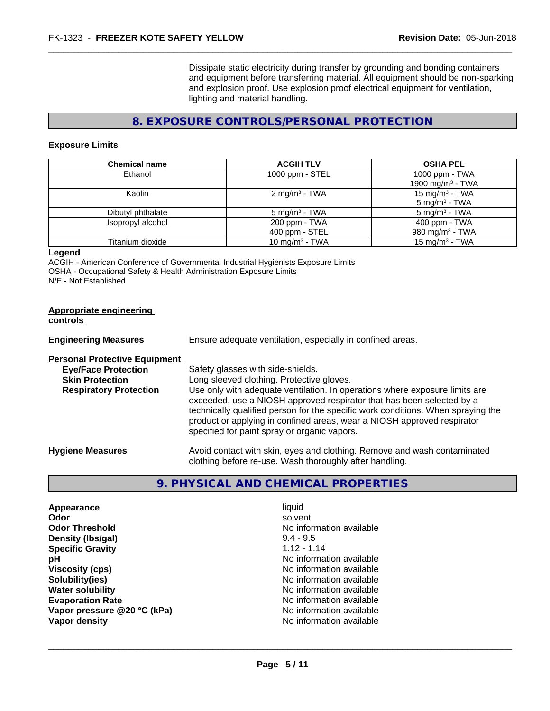Dissipate static electricity during transfer by grounding and bonding containers and equipment before transferring material. All equipment should be non-sparking and explosion proof. Use explosion proof electrical equipment for ventilation, lighting and material handling.

# **8. EXPOSURE CONTROLS/PERSONAL PROTECTION**

#### **Exposure Limits**

| <b>Chemical name</b> | <b>ACGIH TLV</b>                | <b>OSHA PEL</b>                                        |
|----------------------|---------------------------------|--------------------------------------------------------|
| Ethanol              | 1000 ppm - STEL                 | 1000 ppm - TWA<br>1900 mg/m <sup>3</sup> - TWA         |
| Kaolin               | $2 \text{ mg/m}^3$ - TWA        | 15 mg/m <sup>3</sup> - TWA<br>$5 \text{ mg/m}^3$ - TWA |
| Dibutyl phthalate    | $5 \text{ mg/m}^3$ - TWA        | $5 \text{ mg/m}^3$ - TWA                               |
| Isopropyl alcohol    | 200 ppm - TWA<br>400 ppm - STEL | 400 ppm - TWA<br>980 mg/m $3$ - TWA                    |
| Titanium dioxide     | 10 mg/m <sup>3</sup> - TWA      | 15 mg/m $3$ - TWA                                      |

#### **Legend**

ACGIH - American Conference of Governmental Industrial Hygienists Exposure Limits OSHA - Occupational Safety & Health Administration Exposure Limits N/E - Not Established

| <b>Appropriate engineering</b><br><b>controls</b> |                                                                                                                                                                                                                                                                                                                                                                     |
|---------------------------------------------------|---------------------------------------------------------------------------------------------------------------------------------------------------------------------------------------------------------------------------------------------------------------------------------------------------------------------------------------------------------------------|
| <b>Engineering Measures</b>                       | Ensure adequate ventilation, especially in confined areas.                                                                                                                                                                                                                                                                                                          |
| <b>Personal Protective Equipment</b>              |                                                                                                                                                                                                                                                                                                                                                                     |
| <b>Eye/Face Protection</b>                        | Safety glasses with side-shields.                                                                                                                                                                                                                                                                                                                                   |
| <b>Skin Protection</b>                            | Long sleeved clothing. Protective gloves.                                                                                                                                                                                                                                                                                                                           |
| <b>Respiratory Protection</b>                     | Use only with adequate ventilation. In operations where exposure limits are<br>exceeded, use a NIOSH approved respirator that has been selected by a<br>technically qualified person for the specific work conditions. When spraying the<br>product or applying in confined areas, wear a NIOSH approved respirator<br>specified for paint spray or organic vapors. |
| <b>Hygiene Measures</b>                           | Avoid contact with skin, eyes and clothing. Remove and wash contaminated                                                                                                                                                                                                                                                                                            |

# **9. PHYSICAL AND CHEMICAL PROPERTIES**

clothing before re-use. Wash thoroughly after handling.

| Appearance                  | liquid                   |
|-----------------------------|--------------------------|
| Odor                        | solvent                  |
| <b>Odor Threshold</b>       | No information available |
| Density (Ibs/gal)           | $9.4 - 9.5$              |
| <b>Specific Gravity</b>     | $1.12 - 1.14$            |
| pH                          | No information available |
| <b>Viscosity (cps)</b>      | No information available |
| Solubility(ies)             | No information available |
| <b>Water solubility</b>     | No information available |
| <b>Evaporation Rate</b>     | No information available |
| Vapor pressure @20 °C (kPa) | No information available |
| Vapor density               | No information available |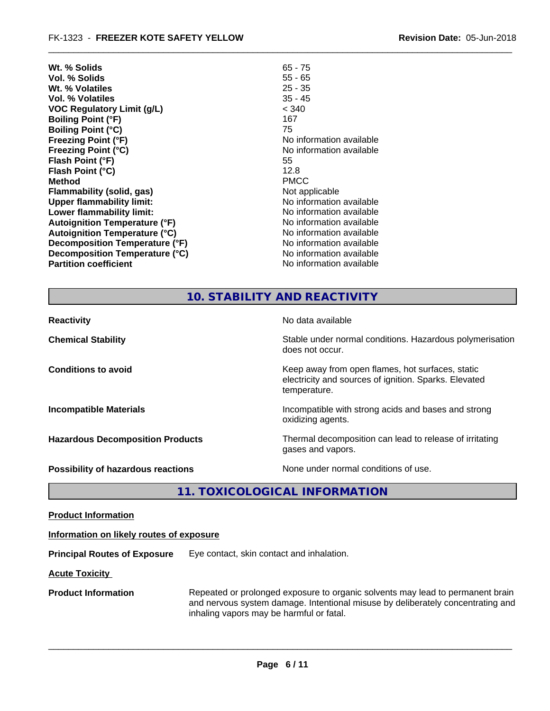| Wt. % Solids                         | $65 - 75$                |
|--------------------------------------|--------------------------|
| Vol. % Solids                        | $55 - 65$                |
| Wt. % Volatiles                      | $25 - 35$                |
| Vol. % Volatiles                     | $35 - 45$                |
| <b>VOC Regulatory Limit (g/L)</b>    | < 340                    |
| <b>Boiling Point (°F)</b>            | 167                      |
| <b>Boiling Point (°C)</b>            | 75                       |
| <b>Freezing Point (°F)</b>           | No information available |
| <b>Freezing Point (°C)</b>           | No information available |
| Flash Point (°F)                     | 55                       |
| Flash Point (°C)                     | 12.8                     |
| <b>Method</b>                        | <b>PMCC</b>              |
| Flammability (solid, gas)            | Not applicable           |
| <b>Upper flammability limit:</b>     | No information available |
| Lower flammability limit:            | No information available |
| <b>Autoignition Temperature (°F)</b> | No information available |
| Autoignition Temperature (°C)        | No information available |
| Decomposition Temperature (°F)       | No information available |
| Decomposition Temperature (°C)       | No information available |
| <b>Partition coefficient</b>         | No information available |
|                                      |                          |

# **10. STABILITY AND REACTIVITY**

| <b>Reactivity</b>                       | No data available                                                                                                         |
|-----------------------------------------|---------------------------------------------------------------------------------------------------------------------------|
| <b>Chemical Stability</b>               | Stable under normal conditions. Hazardous polymerisation<br>does not occur.                                               |
| <b>Conditions to avoid</b>              | Keep away from open flames, hot surfaces, static<br>electricity and sources of ignition. Sparks. Elevated<br>temperature. |
| <b>Incompatible Materials</b>           | Incompatible with strong acids and bases and strong<br>oxidizing agents.                                                  |
| <b>Hazardous Decomposition Products</b> | Thermal decomposition can lead to release of irritating<br>gases and vapors.                                              |
| Possibility of hazardous reactions      | None under normal conditions of use.                                                                                      |

**11. TOXICOLOGICAL INFORMATION**

**Product Information**

### **Information on likely routes of exposure**

**Principal Routes of Exposure** Eye contact, skin contact and inhalation.

**Acute Toxicity** 

**Product Information** Repeated or prolonged exposure to organic solvents may lead to permanent brain and nervous system damage. Intentional misuse by deliberately concentrating and inhaling vapors may be harmful or fatal.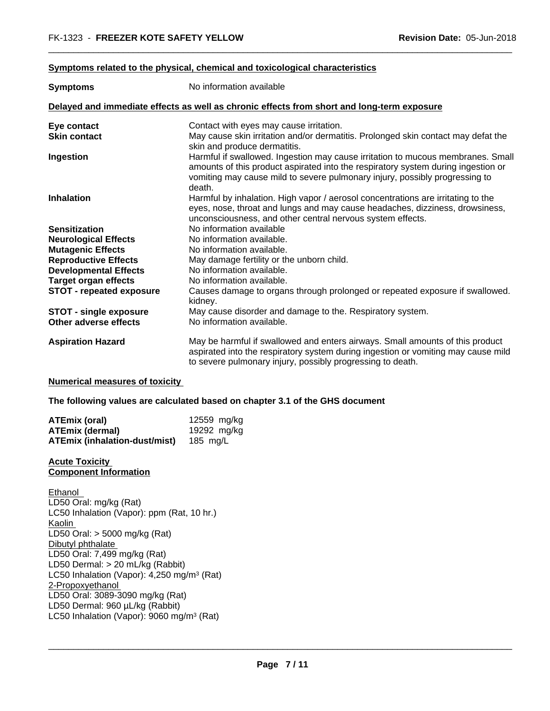#### **Symptoms** related to the physical, chemical and toxicological characteristics

| <b>Symptoms</b>                 | No information available                                                                                                                                                                                                                                      |
|---------------------------------|---------------------------------------------------------------------------------------------------------------------------------------------------------------------------------------------------------------------------------------------------------------|
|                                 | Delayed and immediate effects as well as chronic effects from short and long-term exposure                                                                                                                                                                    |
| Eye contact                     | Contact with eyes may cause irritation.                                                                                                                                                                                                                       |
| <b>Skin contact</b>             | May cause skin irritation and/or dermatitis. Prolonged skin contact may defat the                                                                                                                                                                             |
|                                 | skin and produce dermatitis.                                                                                                                                                                                                                                  |
| Ingestion                       | Harmful if swallowed. Ingestion may cause irritation to mucous membranes. Small<br>amounts of this product aspirated into the respiratory system during ingestion or<br>vomiting may cause mild to severe pulmonary injury, possibly progressing to<br>death. |
| <b>Inhalation</b>               | Harmful by inhalation. High vapor / aerosol concentrations are irritating to the                                                                                                                                                                              |
|                                 | eyes, nose, throat and lungs and may cause headaches, dizziness, drowsiness,<br>unconsciousness, and other central nervous system effects.                                                                                                                    |
| <b>Sensitization</b>            | No information available                                                                                                                                                                                                                                      |
| <b>Neurological Effects</b>     | No information available.                                                                                                                                                                                                                                     |
| <b>Mutagenic Effects</b>        | No information available.                                                                                                                                                                                                                                     |
| <b>Reproductive Effects</b>     | May damage fertility or the unborn child.                                                                                                                                                                                                                     |
| <b>Developmental Effects</b>    | No information available.                                                                                                                                                                                                                                     |
| <b>Target organ effects</b>     | No information available.                                                                                                                                                                                                                                     |
| <b>STOT - repeated exposure</b> | Causes damage to organs through prolonged or repeated exposure if swallowed.<br>kidney.                                                                                                                                                                       |
| <b>STOT - single exposure</b>   | May cause disorder and damage to the. Respiratory system.                                                                                                                                                                                                     |
| Other adverse effects           | No information available.                                                                                                                                                                                                                                     |
| <b>Aspiration Hazard</b>        | May be harmful if swallowed and enters airways. Small amounts of this product<br>aspirated into the respiratory system during ingestion or vomiting may cause mild<br>to severe pulmonary injury, possibly progressing to death.                              |

#### **Numerical measures of toxicity**

**The following values are calculated based on chapter 3.1 of the GHS document**

| <b>ATEmix (oral)</b>                 | 12559 mg/kg |
|--------------------------------------|-------------|
| <b>ATEmix (dermal)</b>               | 19292 mg/kg |
| <b>ATEmix (inhalation-dust/mist)</b> | 185 mg/L    |

#### **Acute Toxicity Component Information**

Ethanol LD50 Oral: mg/kg (Rat) LC50 Inhalation (Vapor): ppm (Rat, 10 hr.) Kaolin LD50 Oral: > 5000 mg/kg (Rat) Dibutyl phthalate LD50 Oral: 7,499 mg/kg (Rat) LD50 Dermal: > 20 mL/kg (Rabbit) LC50 Inhalation (Vapor): 4,250 mg/m<sup>3</sup> (Rat) 2-Propoxyethanol LD50 Oral: 3089-3090 mg/kg (Rat) LD50 Dermal: 960 µL/kg (Rabbit) LC50 Inhalation (Vapor): 9060 mg/m<sup>3</sup> (Rat)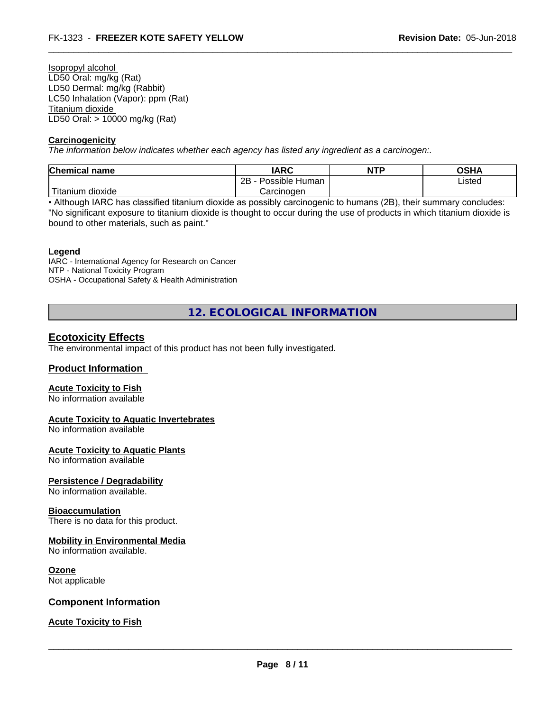Isopropyl alcohol LD50 Oral: mg/kg (Rat) LD50 Dermal: mg/kg (Rabbit) LC50 Inhalation (Vapor): ppm (Rat) Titanium dioxide LD50 Oral: > 10000 mg/kg (Rat)

#### **Carcinogenicity**

*The information below indicateswhether each agency has listed any ingredient as a carcinogen:.*

| Chemical name<br><b>IARC</b><br><b>NTF</b>     | <b>OSHA</b> |
|------------------------------------------------|-------------|
| ם מ<br>Possible Human<br>∠∟                    | Listed      |
| $\cdots$<br>dioxide<br>Carcinogen<br>l itanıum |             |

• Although IARC has classified titanium dioxide as possibly carcinogenic to humans (2B), their summary concludes: "No significant exposure to titanium dioxide is thought to occur during the use of products in which titanium dioxide is bound to other materials, such as paint."

#### **Legend**

IARC - International Agency for Research on Cancer NTP - National Toxicity Program OSHA - Occupational Safety & Health Administration

**12. ECOLOGICAL INFORMATION**

## **Ecotoxicity Effects**

The environmental impact of this product has not been fully investigated.

# **Product Information**

#### **Acute Toxicity to Fish**

No information available

#### **Acute Toxicity to Aquatic Invertebrates**

No information available

#### **Acute Toxicity to Aquatic Plants**

No information available

#### **Persistence / Degradability**

No information available.

#### **Bioaccumulation**

There is no data for this product.

#### **Mobility in Environmental Media**

No information available.

#### **Ozone**

Not applicable

#### **Component Information**

#### **Acute Toxicity to Fish**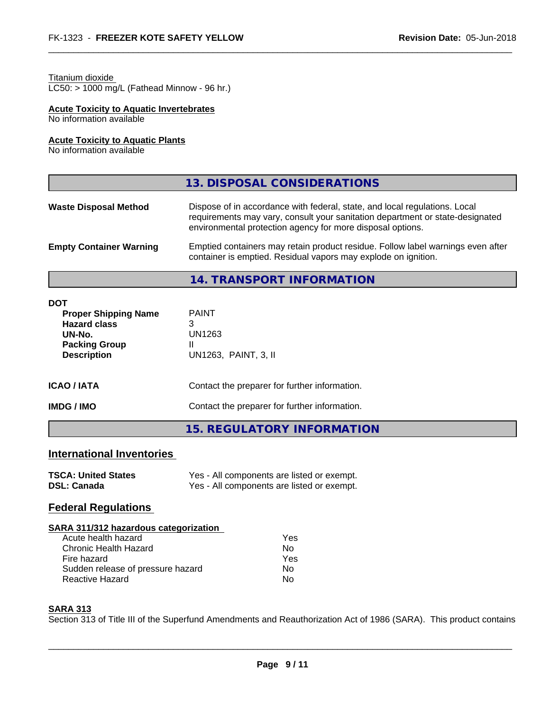#### Titanium dioxide

LC50: > 1000 mg/L (Fathead Minnow - 96 hr.)

# **Acute Toxicity to Aquatic Invertebrates**

No information available

#### **Acute Toxicity to Aquatic Plants**

No information available

|                                | 13. DISPOSAL CONSIDERATIONS                                                                                                                                                                                               |
|--------------------------------|---------------------------------------------------------------------------------------------------------------------------------------------------------------------------------------------------------------------------|
| <b>Waste Disposal Method</b>   | Dispose of in accordance with federal, state, and local regulations. Local<br>requirements may vary, consult your sanitation department or state-designated<br>environmental protection agency for more disposal options. |
| <b>Empty Container Warning</b> | Emptied containers may retain product residue. Follow label warnings even after<br>container is emptied. Residual vapors may explode on ignition.                                                                         |

**14. TRANSPORT INFORMATION**

| <b>DOT</b>                                 |                                               |  |
|--------------------------------------------|-----------------------------------------------|--|
| <b>Proper Shipping Name</b>                | <b>PAINT</b><br>3                             |  |
| <b>Hazard class</b>                        |                                               |  |
| UN-No.                                     | UN1263                                        |  |
| <b>Packing Group</b>                       | Ш                                             |  |
| UN1263, PAINT, 3, II<br><b>Description</b> |                                               |  |
| <b>ICAO/IATA</b>                           | Contact the preparer for further information. |  |
| <b>IMDG / IMO</b>                          | Contact the preparer for further information. |  |
|                                            | 15. REGULATORY INFORMATION                    |  |

# **International Inventories**

| <b>TSCA: United States</b> | Yes - All components are listed or exempt. |
|----------------------------|--------------------------------------------|
| <b>DSL: Canada</b>         | Yes - All components are listed or exempt. |

## **Federal Regulations**

| SARA 311/312 hazardous categorization |            |  |
|---------------------------------------|------------|--|
| Acute health hazard                   | <b>Yes</b> |  |
| Chronic Health Hazard                 | No         |  |
| Fire hazard                           | Yes        |  |
| Sudden release of pressure hazard     | No         |  |

Reactive Hazard No

## **SARA 313**

Section 313 of Title III of the Superfund Amendments and Reauthorization Act of 1986 (SARA). This product contains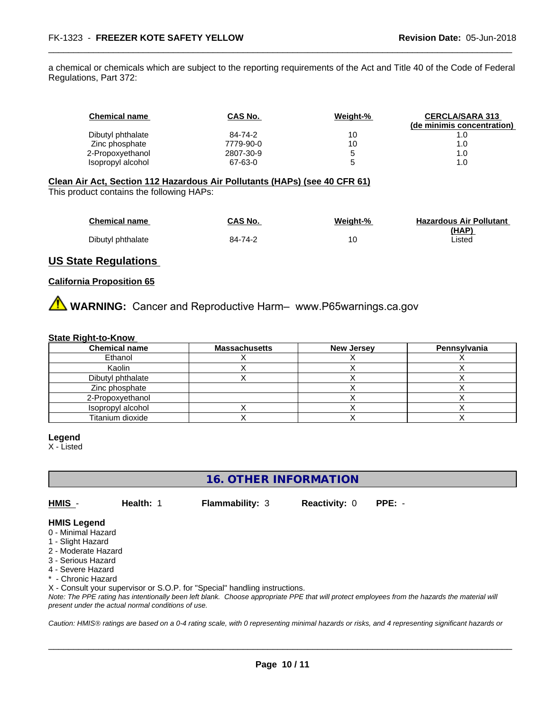a chemical or chemicals which are subject to the reporting requirements of the Act and Title 40 of the Code of Federal Regulations, Part 372:

| <b>Chemical name</b> | CAS No.   | Weight-% | <b>CERCLA/SARA 313</b>     |
|----------------------|-----------|----------|----------------------------|
|                      |           |          | (de minimis concentration) |
| Dibutyl phthalate    | 84-74-2   | 10       |                            |
| Zinc phosphate       | 7779-90-0 | 10       | 1.0                        |
| 2-Propoxyethanol     | 2807-30-9 |          | 1.0                        |
| Isopropyl alcohol    | 67-63-0   |          | 1.0                        |

#### **Clean Air Act,Section 112 Hazardous Air Pollutants (HAPs) (see 40 CFR 61)**

This product contains the following HAPs:

| <b>Chemical name</b> | CAS No. | Weight-% | <b>Hazardous Air Pollutant</b> |
|----------------------|---------|----------|--------------------------------|
|                      |         |          | (HAP)                          |
| Dibutyl phthalate    | 84-74-2 |          | Listed                         |

## **US State Regulations**

#### **California Proposition 65**

**WARNING:** Cancer and Reproductive Harm– www.P65warnings.ca.gov

#### **State Right-to-Know**

| <b>Chemical name</b> | <b>Massachusetts</b> | <b>New Jersey</b> | Pennsylvania |
|----------------------|----------------------|-------------------|--------------|
| Ethanol              |                      |                   |              |
| Kaolin               |                      |                   |              |
| Dibutyl phthalate    |                      |                   |              |
| Zinc phosphate       |                      |                   |              |
| 2-Propoxyethanol     |                      |                   |              |
| Isopropyl alcohol    |                      |                   |              |
| Titanium dioxide     |                      |                   |              |

#### **Legend**

X - Listed

# **16. OTHER INFORMATION**

**HMIS** - **Health:** 1 **Flammability:** 3 **Reactivity:** 0 **PPE:** -

 $\overline{\phantom{a}}$  ,  $\overline{\phantom{a}}$  ,  $\overline{\phantom{a}}$  ,  $\overline{\phantom{a}}$  ,  $\overline{\phantom{a}}$  ,  $\overline{\phantom{a}}$  ,  $\overline{\phantom{a}}$  ,  $\overline{\phantom{a}}$  ,  $\overline{\phantom{a}}$  ,  $\overline{\phantom{a}}$  ,  $\overline{\phantom{a}}$  ,  $\overline{\phantom{a}}$  ,  $\overline{\phantom{a}}$  ,  $\overline{\phantom{a}}$  ,  $\overline{\phantom{a}}$  ,  $\overline{\phantom{a}}$ 

## **HMIS Legend**

- 0 Minimal Hazard
- 1 Slight Hazard
- 2 Moderate Hazard
- 3 Serious Hazard
- 4 Severe Hazard
- **Chronic Hazard**

X - Consult your supervisor or S.O.P. for "Special" handling instructions.

*Note: The PPE rating has intentionally been left blank. Choose appropriate PPE that will protect employees from the hazards the material will present under the actual normal conditions of use.*

*Caution: HMISÒ ratings are based on a 0-4 rating scale, with 0 representing minimal hazards or risks, and 4 representing significant hazards or*